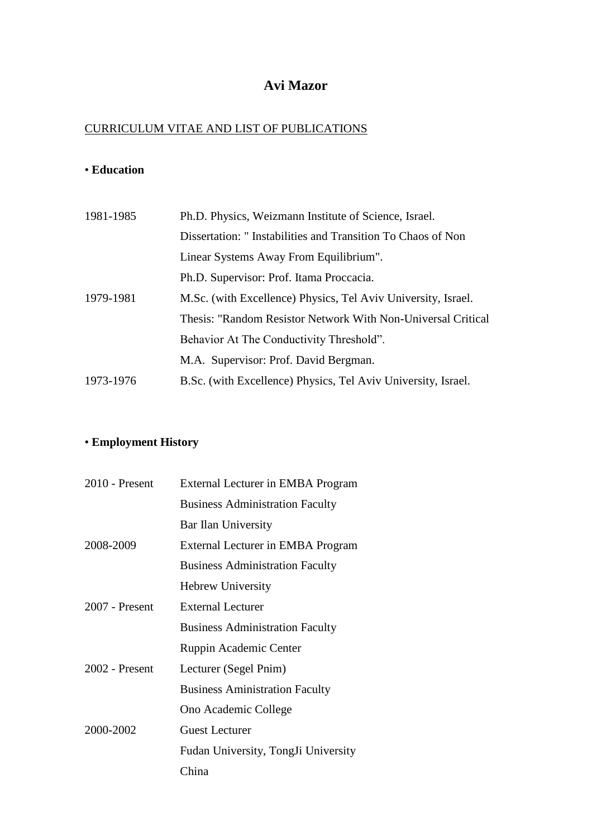# **Avi Mazor**

# CURRICULUM VITAE AND LIST OF PUBLICATIONS

# • **Education**

| 1981-1985 | Ph.D. Physics, Weizmann Institute of Science, Israel.         |
|-----------|---------------------------------------------------------------|
|           | Dissertation: "Instabilities and Transition To Chaos of Non   |
|           | Linear Systems Away From Equilibrium".                        |
|           | Ph.D. Supervisor: Prof. Itama Proceacia.                      |
| 1979-1981 | M.Sc. (with Excellence) Physics, Tel Aviv University, Israel. |
|           | Thesis: "Random Resistor Network With Non-Universal Critical  |
|           | Behavior At The Conductivity Threshold".                      |
|           | M.A. Supervisor: Prof. David Bergman.                         |
| 1973-1976 | B.Sc. (with Excellence) Physics, Tel Aviv University, Israel. |

# • **Employment History**

| 2010 - Present   | External Lecturer in EMBA Program      |
|------------------|----------------------------------------|
|                  | <b>Business Administration Faculty</b> |
|                  | Bar Ilan University                    |
| 2008-2009        | External Lecturer in EMBA Program      |
|                  | <b>Business Administration Faculty</b> |
|                  | <b>Hebrew University</b>               |
| $2007$ - Present | <b>External Lecturer</b>               |
|                  | <b>Business Administration Faculty</b> |
|                  | Ruppin Academic Center                 |
| 2002 - Present   | Lecturer (Segel Pnim)                  |
|                  | <b>Business Aministration Faculty</b>  |
|                  | Ono Academic College                   |
| 2000-2002        | <b>Guest Lecturer</b>                  |
|                  | Fudan University, TongJi University    |
|                  | China                                  |
|                  |                                        |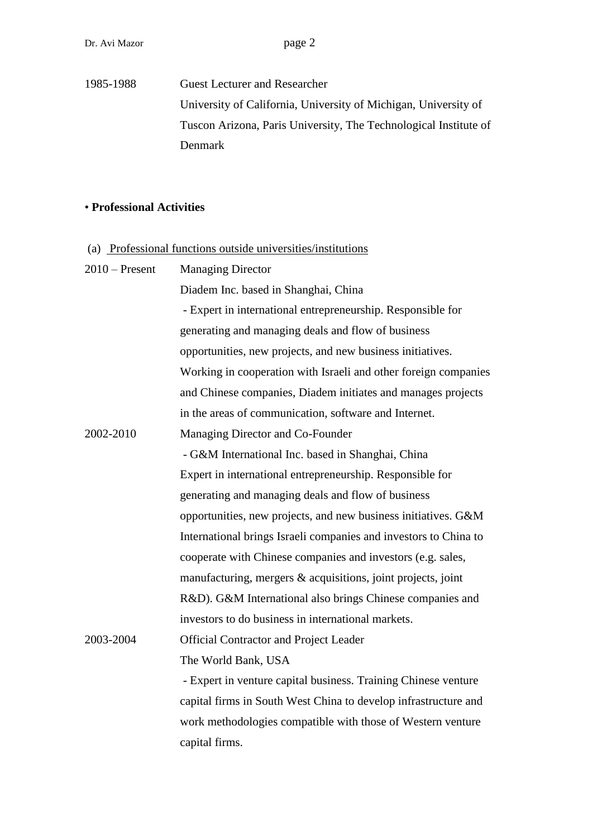1985-1988 Guest Lecturer and Researcher University of California, University of Michigan, University of Tuscon Arizona, Paris University, The Technological Institute of Denmark

# • **Professional Activities**

| (a) Professional functions outside universities/institutions |                                                                  |  |
|--------------------------------------------------------------|------------------------------------------------------------------|--|
| $2010$ – Present                                             | <b>Managing Director</b>                                         |  |
|                                                              | Diadem Inc. based in Shanghai, China                             |  |
|                                                              | - Expert in international entrepreneurship. Responsible for      |  |
|                                                              | generating and managing deals and flow of business               |  |
|                                                              | opportunities, new projects, and new business initiatives.       |  |
|                                                              | Working in cooperation with Israeli and other foreign companies  |  |
|                                                              | and Chinese companies, Diadem initiates and manages projects     |  |
|                                                              | in the areas of communication, software and Internet.            |  |
| 2002-2010                                                    | Managing Director and Co-Founder                                 |  |
|                                                              | - G&M International Inc. based in Shanghai, China                |  |
|                                                              | Expert in international entrepreneurship. Responsible for        |  |
|                                                              | generating and managing deals and flow of business               |  |
|                                                              | opportunities, new projects, and new business initiatives. G&M   |  |
|                                                              | International brings Israeli companies and investors to China to |  |
|                                                              | cooperate with Chinese companies and investors (e.g. sales,      |  |
|                                                              | manufacturing, mergers & acquisitions, joint projects, joint     |  |
|                                                              | R&D). G&M International also brings Chinese companies and        |  |
|                                                              | investors to do business in international markets.               |  |
| 2003-2004                                                    | <b>Official Contractor and Project Leader</b>                    |  |
|                                                              | The World Bank, USA                                              |  |
|                                                              | - Expert in venture capital business. Training Chinese venture   |  |
|                                                              | capital firms in South West China to develop infrastructure and  |  |
|                                                              | work methodologies compatible with those of Western venture      |  |
|                                                              | capital firms.                                                   |  |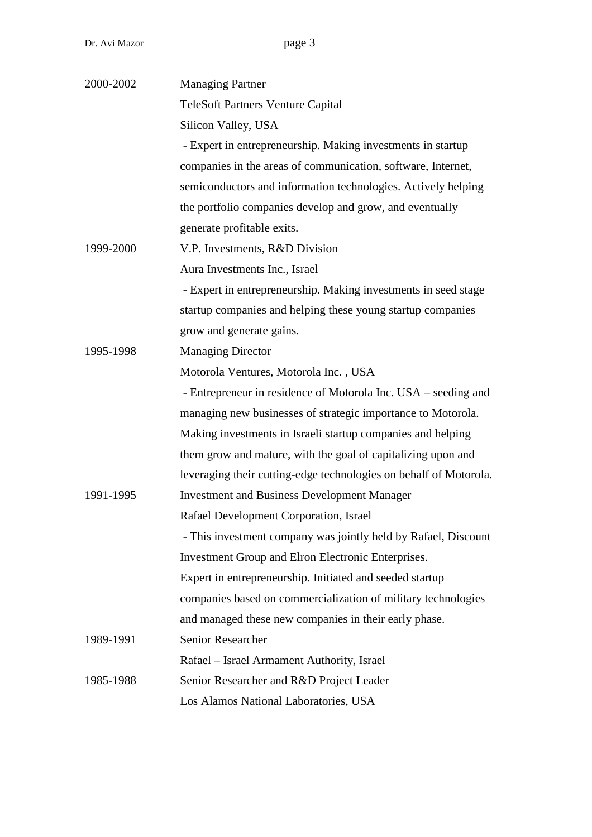| 2000-2002 | <b>Managing Partner</b>                                           |
|-----------|-------------------------------------------------------------------|
|           | <b>TeleSoft Partners Venture Capital</b>                          |
|           | Silicon Valley, USA                                               |
|           | - Expert in entrepreneurship. Making investments in startup       |
|           | companies in the areas of communication, software, Internet,      |
|           | semiconductors and information technologies. Actively helping     |
|           | the portfolio companies develop and grow, and eventually          |
|           | generate profitable exits.                                        |
| 1999-2000 | V.P. Investments, R&D Division                                    |
|           | Aura Investments Inc., Israel                                     |
|           | - Expert in entrepreneurship. Making investments in seed stage    |
|           | startup companies and helping these young startup companies       |
|           | grow and generate gains.                                          |
| 1995-1998 | <b>Managing Director</b>                                          |
|           | Motorola Ventures, Motorola Inc., USA                             |
|           | - Entrepreneur in residence of Motorola Inc. USA – seeding and    |
|           | managing new businesses of strategic importance to Motorola.      |
|           | Making investments in Israeli startup companies and helping       |
|           | them grow and mature, with the goal of capitalizing upon and      |
|           | leveraging their cutting-edge technologies on behalf of Motorola. |
| 1991-1995 | <b>Investment and Business Development Manager</b>                |
|           | Rafael Development Corporation, Israel                            |
|           | - This investment company was jointly held by Rafael, Discount    |
|           | <b>Investment Group and Elron Electronic Enterprises.</b>         |
|           | Expert in entrepreneurship. Initiated and seeded startup          |
|           | companies based on commercialization of military technologies     |
|           | and managed these new companies in their early phase.             |
| 1989-1991 | <b>Senior Researcher</b>                                          |
|           | Rafael – Israel Armament Authority, Israel                        |
| 1985-1988 | Senior Researcher and R&D Project Leader                          |
|           | Los Alamos National Laboratories, USA                             |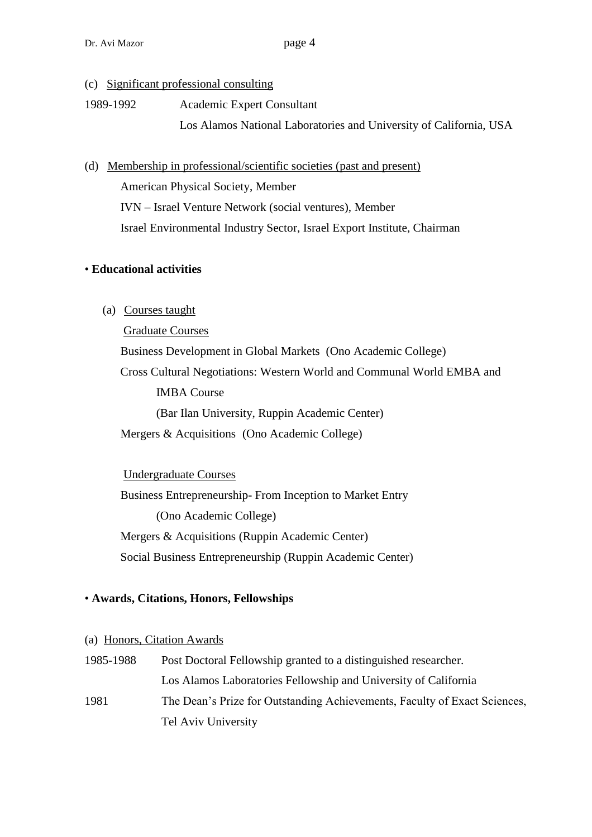- (c) Significant professional consulting
- 1989-1992 Academic Expert Consultant

Los Alamos National Laboratories and University of California, USA

(d) Membership in professional/scientific societies (past and present)

American Physical Society, Member

IVN – Israel Venture Network (social ventures), Member

Israel Environmental Industry Sector, Israel Export Institute, Chairman

## • **Educational activities**

(a) Courses taught

Graduate Courses

Business Development in Global Markets (Ono Academic College) Cross Cultural Negotiations: Western World and Communal World EMBA and IMBA Course (Bar Ilan University, Ruppin Academic Center)

Mergers & Acquisitions (Ono Academic College)

### Undergraduate Courses

Business Entrepreneurship- From Inception to Market Entry (Ono Academic College) Mergers & Acquisitions (Ruppin Academic Center) Social Business Entrepreneurship (Ruppin Academic Center)

## • **Awards, Citations, Honors, Fellowships**

### (a) Honors, Citation Awards

1985-1988 Post Doctoral Fellowship granted to a distinguished researcher. Los Alamos Laboratories Fellowship and University of California 1981 The Dean's Prize for Outstanding Achievements, Faculty of Exact Sciences, Tel Aviv University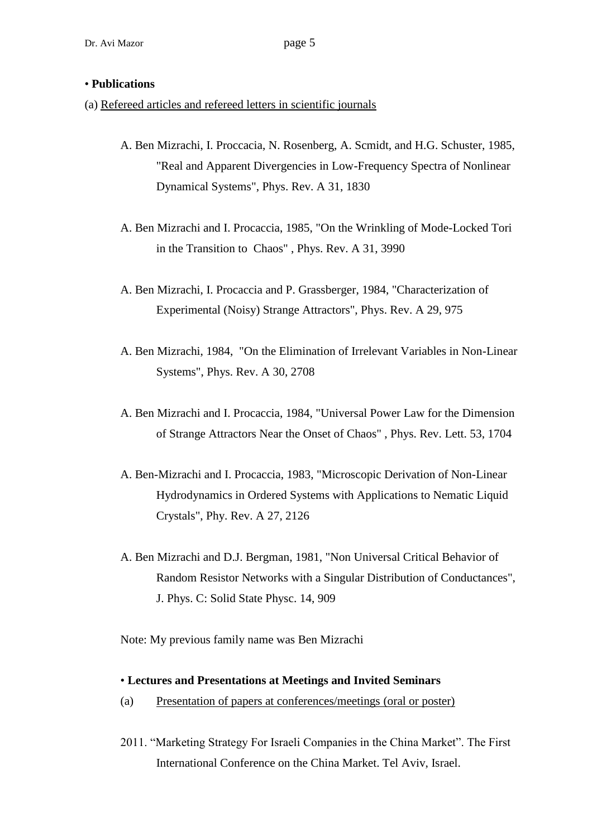#### • **Publications**

- (a) Refereed articles and refereed letters in scientific journals
	- A. Ben Mizrachi, I. Proccacia, N. Rosenberg, A. Scmidt, and H.G. Schuster, 1985, "Real and Apparent Divergencies in Low-Frequency Spectra of Nonlinear Dynamical Systems", Phys. Rev. A 31, 1830
	- A. Ben Mizrachi and I. Procaccia, 1985, "On the Wrinkling of Mode-Locked Tori in the Transition to Chaos" , Phys. Rev. A 31, 3990
	- A. Ben Mizrachi, I. Procaccia and P. Grassberger, 1984, "Characterization of Experimental (Noisy) Strange Attractors", Phys. Rev. A 29, 975
	- A. Ben Mizrachi, 1984, "On the Elimination of Irrelevant Variables in Non-Linear Systems", Phys. Rev. A 30, 2708
	- A. Ben Mizrachi and I. Procaccia, 1984, "Universal Power Law for the Dimension of Strange Attractors Near the Onset of Chaos" , Phys. Rev. Lett. 53, 1704
	- A. Ben-Mizrachi and I. Procaccia, 1983, "Microscopic Derivation of Non-Linear Hydrodynamics in Ordered Systems with Applications to Nematic Liquid Crystals", Phy. Rev. A 27, 2126
	- A. Ben Mizrachi and D.J. Bergman, 1981, "Non Universal Critical Behavior of Random Resistor Networks with a Singular Distribution of Conductances", J. Phys. C: Solid State Physc. 14, 909

Note: My previous family name was Ben Mizrachi

#### • **Lectures and Presentations at Meetings and Invited Seminars**

- (a) Presentation of papers at conferences/meetings (oral or poster)
- 2011. "Marketing Strategy For Israeli Companies in the China Market". The First International Conference on the China Market. Tel Aviv, Israel.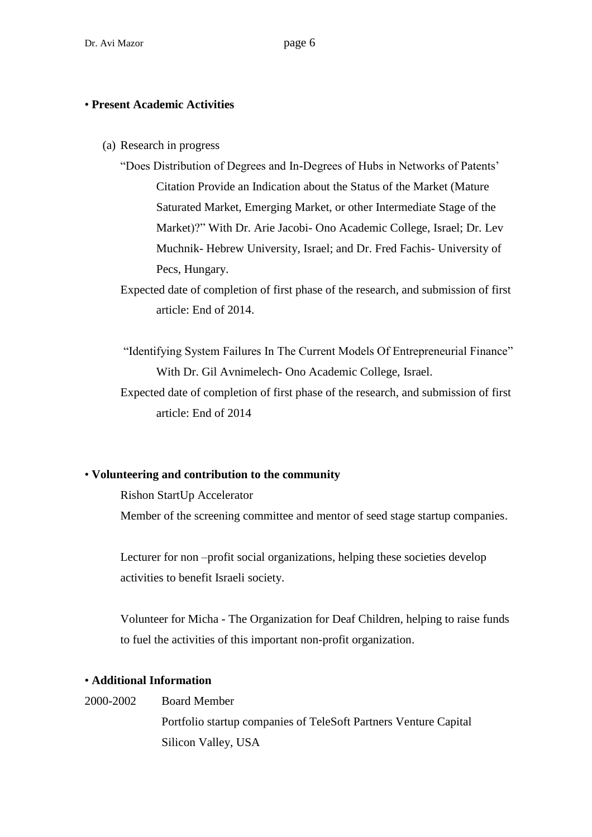#### • **Present Academic Activities**

- (a) Research in progress
	- "Does Distribution of Degrees and In-Degrees of Hubs in Networks of Patents' Citation Provide an Indication about the Status of the Market (Mature Saturated Market, Emerging Market, or other Intermediate Stage of the Market)?" With Dr. Arie Jacobi- Ono Academic College, Israel; Dr. Lev Muchnik- Hebrew University, Israel; and Dr. Fred Fachis- University of Pecs, Hungary.
	- Expected date of completion of first phase of the research, and submission of first article: End of 2014.
	- "Identifying System Failures In The Current Models Of Entrepreneurial Finance" With Dr. Gil Avnimelech- Ono Academic College, Israel.
	- Expected date of completion of first phase of the research, and submission of first article: End of 2014

#### • **Volunteering and contribution to the community**

Rishon StartUp Accelerator Member of the screening committee and mentor of seed stage startup companies.

Lecturer for non –profit social organizations, helping these societies develop activities to benefit Israeli society.

Volunteer for Micha - The Organization for Deaf Children, helping to raise funds to fuel the activities of this important non-profit organization.

## • **Additional Information**

### 2000-2002 Board Member

Portfolio startup companies of TeleSoft Partners Venture Capital Silicon Valley, USA